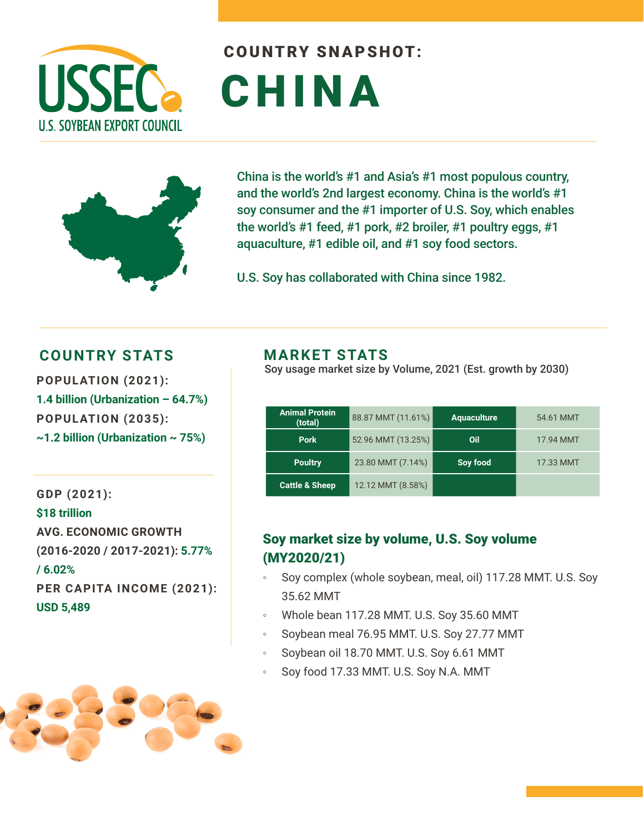

# COUNTRY SNAPSHOT: CHINA



China is the world's #1 and Asia's #1 most populous country, and the world's 2nd largest economy. China is the world's #1 soy consumer and the #1 importer of U.S. Soy, which enables the world's #1 feed, #1 pork, #2 broiler, #1 poultry eggs, #1 aquaculture, #1 edible oil, and #1 soy food sectors.

U.S. Soy has collaborated with China since 1982.

#### **COUNTRY STATS MARKET STATS**

**POPULATION (2021): 1.4 billion (Urbanization – 64.7%) POPULATION (2035): ~1.2 billion (Urbanization ~ 75%)** 

**GDP (2021): \$18 trillion AVG. ECONOMIC GROWTH (2016-2020 / 2017-2021): 5.77% / 6.02% PER CAPITA INCOME (2021): USD 5,489**

Soy usage market size by Volume, 2021 (Est. growth by 2030)

| <b>Animal Protein</b><br>(total) | 88.87 MMT (11.61%) | <b>Aquaculture</b> | 54.61 MMT |
|----------------------------------|--------------------|--------------------|-----------|
| <b>Pork</b>                      | 52.96 MMT (13.25%) | Oil                | 17.94 MMT |
| <b>Poultry</b>                   | 23.80 MMT (7.14%)  | Soy food           | 17.33 MMT |
| <b>Cattle &amp; Sheep</b>        | 12.12 MMT (8.58%)  |                    |           |

#### Soy market size by volume, U.S. Soy volume (MY2020/21)

- Soy complex (whole soybean, meal, oil) 117.28 MMT. U.S. Soy 35.62 MMT
- Whole bean 117.28 MMT. U.S. Soy 35.60 MMT
- Soybean meal 76.95 MMT. U.S. Soy 27.77 MMT
- Soybean oil 18.70 MMT. U.S. Soy 6.61 MMT
- Soy food 17.33 MMT. U.S. Soy N.A. MMT